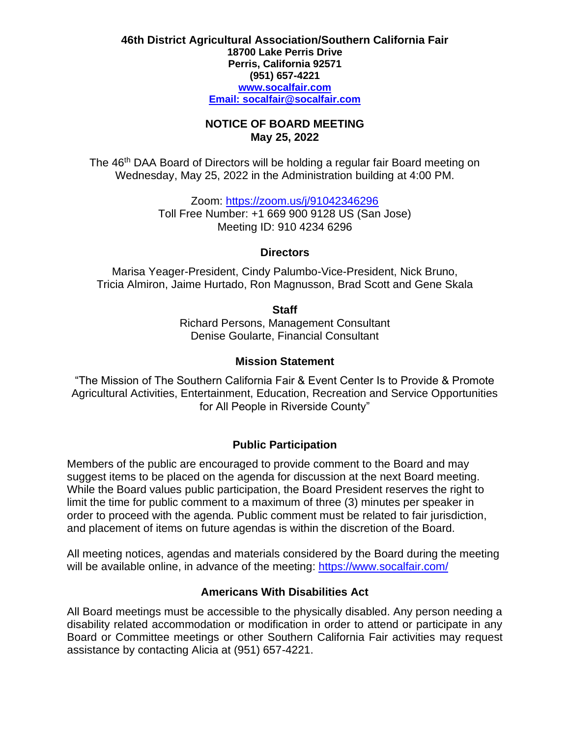#### **46th District Agricultural Association/Southern California Fair 18700 Lake Perris Drive Perris, California 92571 (951) 657-4221 [www.socalfair.com](http://www.socalfair.com/) Email: [socalfair@socalfair.com](mailto:socalfair@socalfair.com)**

### **NOTICE OF BOARD MEETING May 25, 2022**

The 46<sup>th</sup> DAA Board of Directors will be holding a regular fair Board meeting on Wednesday, May 25, 2022 in the Administration building at 4:00 PM.

> Zoom: <https://zoom.us/j/91042346296> Toll Free Number: +1 669 900 9128 US (San Jose) Meeting ID: 910 4234 6296

## **Directors**

Marisa Yeager-President, Cindy Palumbo-Vice-President, Nick Bruno, Tricia Almiron, Jaime Hurtado, Ron Magnusson, Brad Scott and Gene Skala

**Staff**

Richard Persons, Management Consultant Denise Goularte, Financial Consultant

## **Mission Statement**

"The Mission of The Southern California Fair & Event Center Is to Provide & Promote Agricultural Activities, Entertainment, Education, Recreation and Service Opportunities for All People in Riverside County"

# **Public Participation**

Members of the public are encouraged to provide comment to the Board and may suggest items to be placed on the agenda for discussion at the next Board meeting. While the Board values public participation, the Board President reserves the right to limit the time for public comment to a maximum of three (3) minutes per speaker in order to proceed with the agenda. Public comment must be related to fair jurisdiction, and placement of items on future agendas is within the discretion of the Board.

All meeting notices, agendas and materials considered by the Board during the meeting will be available online, in advance of the meeting:<https://www.socalfair.com/>

# **Americans With Disabilities Act**

All Board meetings must be accessible to the physically disabled. Any person needing a disability related accommodation or modification in order to attend or participate in any Board or Committee meetings or other Southern California Fair activities may request assistance by contacting Alicia at (951) 657-4221.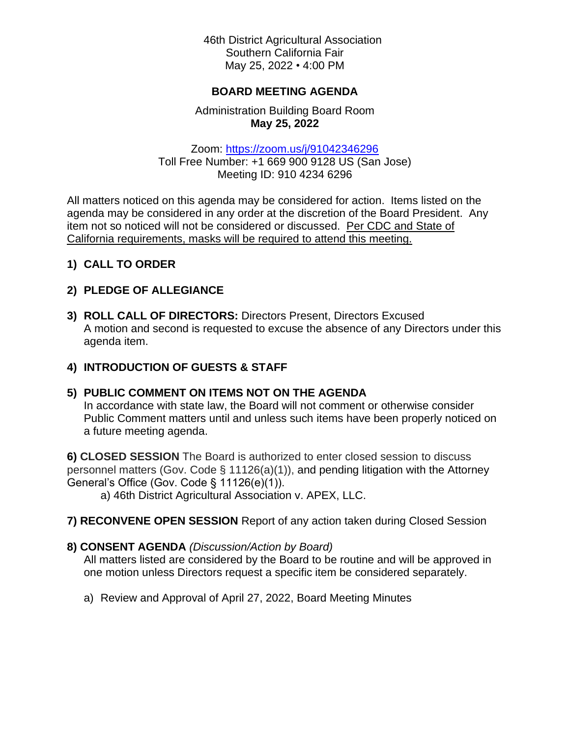46th District Agricultural Association Southern California Fair May 25, 2022 • 4:00 PM

### **BOARD MEETING AGENDA**

## Administration Building Board Room **May 25, 2022**

Zoom: <https://zoom.us/j/91042346296> Toll Free Number: +1 669 900 9128 US (San Jose) Meeting ID: 910 4234 6296

All matters noticed on this agenda may be considered for action. Items listed on the agenda may be considered in any order at the discretion of the Board President. Any item not so noticed will not be considered or discussed. Per CDC and State of California requirements, masks will be required to attend this meeting.

## **1) CALL TO ORDER**

## **2) PLEDGE OF ALLEGIANCE**

**3) ROLL CALL OF DIRECTORS:** Directors Present, Directors Excused A motion and second is requested to excuse the absence of any Directors under this agenda item.

## **4) INTRODUCTION OF GUESTS & STAFF**

## **5) PUBLIC COMMENT ON ITEMS NOT ON THE AGENDA**

In accordance with state law, the Board will not comment or otherwise consider Public Comment matters until and unless such items have been properly noticed on a future meeting agenda.

**6) CLOSED SESSION** The Board is authorized to enter closed session to discuss personnel matters (Gov. Code § 11126(a)(1)), and pending litigation with the Attorney General's Office (Gov. Code § 11126(e)(1)).

a) 46th District Agricultural Association v. APEX, LLC.

**7) RECONVENE OPEN SESSION** Report of any action taken during Closed Session

## **8) CONSENT AGENDA** *(Discussion/Action by Board)*

All matters listed are considered by the Board to be routine and will be approved in one motion unless Directors request a specific item be considered separately.

a) Review and Approval of April 27, 2022, Board Meeting Minutes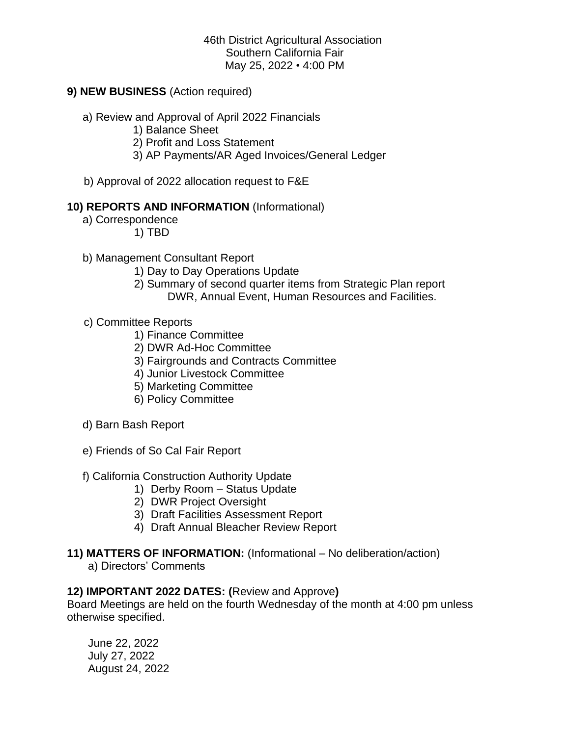46th District Agricultural Association Southern California Fair May 25, 2022 • 4:00 PM

### **9) NEW BUSINESS** (Action required)

- a) Review and Approval of April 2022 Financials
	- 1) Balance Sheet
	- 2) Profit and Loss Statement
	- 3) AP Payments/AR Aged Invoices/General Ledger
- b) Approval of 2022 allocation request to F&E

#### **10) REPORTS AND INFORMATION** (Informational)

- a) Correspondence
	- 1) TBD
- b) Management Consultant Report
	- 1) Day to Day Operations Update
	- 2) Summary of second quarter items from Strategic Plan report DWR, Annual Event, Human Resources and Facilities.
- c) Committee Reports
	- 1) Finance Committee
	- 2) DWR Ad-Hoc Committee
	- 3) Fairgrounds and Contracts Committee
	- 4) Junior Livestock Committee
	- 5) Marketing Committee
	- 6) Policy Committee
- d) Barn Bash Report
- e) Friends of So Cal Fair Report
- f) California Construction Authority Update
	- 1) Derby Room Status Update
	- 2) DWR Project Oversight
	- 3) Draft Facilities Assessment Report
	- 4) Draft Annual Bleacher Review Report
- **11) MATTERS OF INFORMATION:** (Informational No deliberation/action)
	- a) Directors' Comments

#### **12) IMPORTANT 2022 DATES: (**Review and Approve**)**

Board Meetings are held on the fourth Wednesday of the month at 4:00 pm unless otherwise specified.

June 22, 2022 July 27, 2022 August 24, 2022